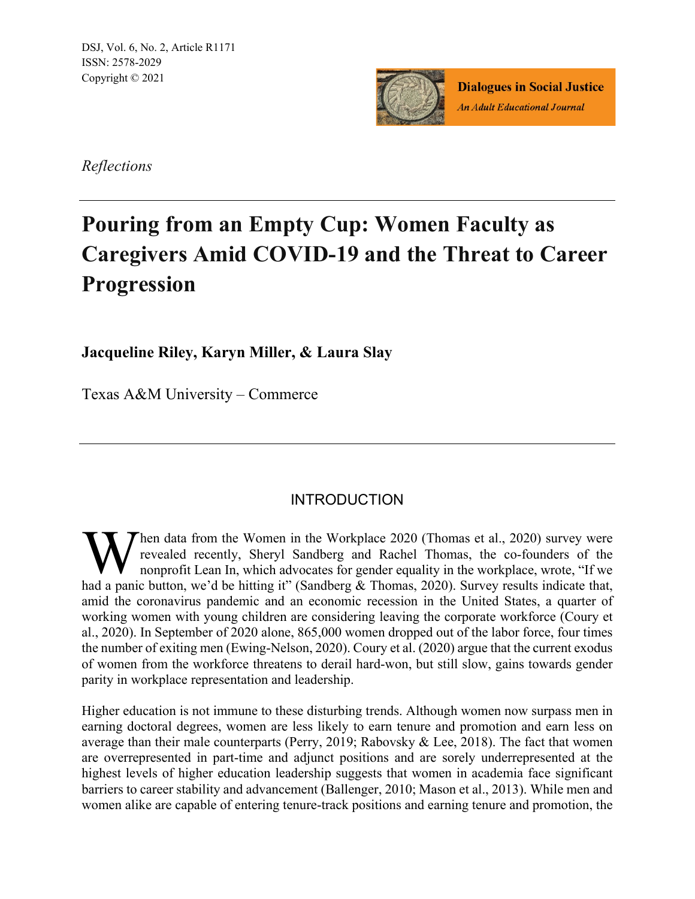DSJ, Vol. 6, No. 2, Article R1171 ISSN: 2578-2029 Copyright © 2021



**Dialogues in Social Justice An Adult Educational Journal** 

*Reflections*

# **Pouring from an Empty Cup: Women Faculty as Caregivers Amid COVID-19 and the Threat to Career Progression**

**Jacqueline Riley, Karyn Miller, & Laura Slay**

Texas A&M University – Commerce

# **INTRODUCTION**

Then data from the Women in the Workplace 2020 (Thomas et al., 2020) survey were revealed recently, Sheryl Sandberg and Rachel Thomas, the co-founders of the nonprofit Lean In, which advocates for gender equality in the workplace, wrote, "If we When data from the Women in the Workplace 2020 (Thomas et al., 2020) survey were<br>revealed recently, Sheryl Sandberg and Rachel Thomas, the co-founders of the<br>had a panic button, we'd be hitting it" (Sandberg & Thomas, 2020 amid the coronavirus pandemic and an economic recession in the United States, a quarter of working women with young children are considering leaving the corporate workforce (Coury et al., 2020). In September of 2020 alone, 865,000 women dropped out of the labor force, four times the number of exiting men (Ewing-Nelson, 2020). Coury et al. (2020) argue that the current exodus of women from the workforce threatens to derail hard-won, but still slow, gains towards gender parity in workplace representation and leadership.

Higher education is not immune to these disturbing trends. Although women now surpass men in earning doctoral degrees, women are less likely to earn tenure and promotion and earn less on average than their male counterparts (Perry, 2019; Rabovsky & Lee, 2018). The fact that women are overrepresented in part-time and adjunct positions and are sorely underrepresented at the highest levels of higher education leadership suggests that women in academia face significant barriers to career stability and advancement (Ballenger, 2010; Mason et al., 2013). While men and women alike are capable of entering tenure-track positions and earning tenure and promotion, the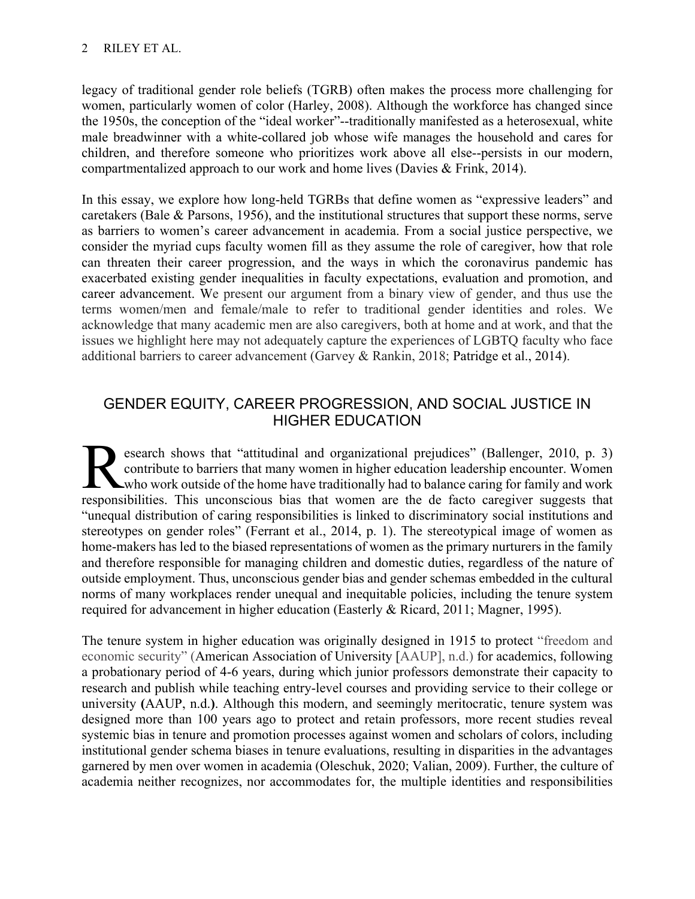legacy of traditional gender role beliefs (TGRB) often makes the process more challenging for women, particularly women of color (Harley, 2008). Although the workforce has changed since the 1950s, the conception of the "ideal worker"--traditionally manifested as a heterosexual, white male breadwinner with a white-collared job whose wife manages the household and cares for children, and therefore someone who prioritizes work above all else--persists in our modern, compartmentalized approach to our work and home lives (Davies & Frink, 2014).

In this essay, we explore how long-held TGRBs that define women as "expressive leaders" and caretakers (Bale & Parsons, 1956), and the institutional structures that support these norms, serve as barriers to women's career advancement in academia. From a social justice perspective, we consider the myriad cups faculty women fill as they assume the role of caregiver, how that role can threaten their career progression, and the ways in which the coronavirus pandemic has exacerbated existing gender inequalities in faculty expectations, evaluation and promotion, and career advancement. We present our argument from a binary view of gender, and thus use the terms women/men and female/male to refer to traditional gender identities and roles. We acknowledge that many academic men are also caregivers, both at home and at work, and that the issues we highlight here may not adequately capture the experiences of LGBTQ faculty who face additional barriers to career advancement (Garvey & Rankin, 2018; Patridge et al., 2014).

# GENDER EQUITY, CAREER PROGRESSION, AND SOCIAL JUSTICE IN HIGHER EDUCATION

esearch shows that "attitudinal and organizational prejudices" (Ballenger, 2010, p. 3) contribute to barriers that many women in higher education leadership encounter. Women who work outside of the home have traditionally had to balance caring for family and work **Respectively** that "attitudinal and organizational prejudices" (Ballenger, 2010, p. 3) contribute to barriers that many women in higher education leadership encounter. Women who work outside of the home have traditionally "unequal distribution of caring responsibilities is linked to discriminatory social institutions and stereotypes on gender roles" (Ferrant et al., 2014, p. 1). The stereotypical image of women as home-makers has led to the biased representations of women as the primary nurturers in the family and therefore responsible for managing children and domestic duties, regardless of the nature of outside employment. Thus, unconscious gender bias and gender schemas embedded in the cultural norms of many workplaces render unequal and inequitable policies, including the tenure system required for advancement in higher education (Easterly & Ricard, 2011; Magner, 1995).

The tenure system in higher education was originally designed in 1915 to protect "freedom and economic security" (American Association of University [AAUP], n.d.) for academics, following a probationary period of 4-6 years, during which junior professors demonstrate their capacity to research and publish while teaching entry-level courses and providing service to their college or university **(**AAUP, n.d.**)**. Although this modern, and seemingly meritocratic, tenure system was designed more than 100 years ago to protect and retain professors, more recent studies reveal systemic bias in tenure and promotion processes against women and scholars of colors, including institutional gender schema biases in tenure evaluations, resulting in disparities in the advantages garnered by men over women in academia (Oleschuk, 2020; Valian, 2009). Further, the culture of academia neither recognizes, nor accommodates for, the multiple identities and responsibilities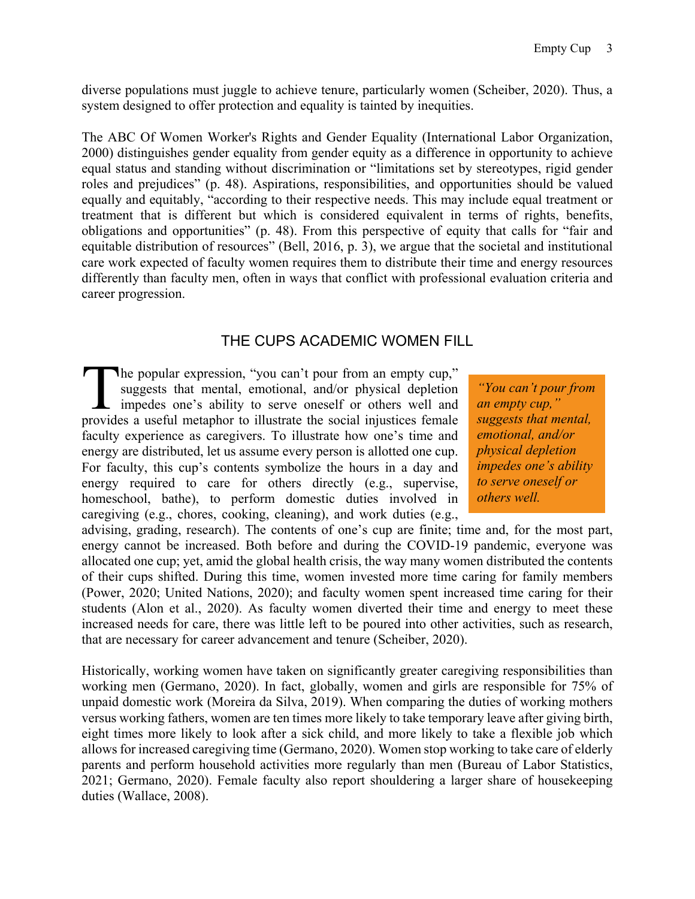diverse populations must juggle to achieve tenure, particularly women (Scheiber, 2020). Thus, a system designed to offer protection and equality is tainted by inequities.

The ABC Of Women Worker's Rights and Gender Equality (International Labor Organization, 2000) distinguishes gender equality from gender equity as a difference in opportunity to achieve equal status and standing without discrimination or "limitations set by stereotypes, rigid gender roles and prejudices" (p. 48). Aspirations, responsibilities, and opportunities should be valued equally and equitably, "according to their respective needs. This may include equal treatment or treatment that is different but which is considered equivalent in terms of rights, benefits, obligations and opportunities" (p. 48). From this perspective of equity that calls for "fair and equitable distribution of resources" (Bell, 2016, p. 3), we argue that the societal and institutional care work expected of faculty women requires them to distribute their time and energy resources differently than faculty men, often in ways that conflict with professional evaluation criteria and career progression.

#### THE CUPS ACADEMIC WOMEN FILL

he popular expression, "you can't pour from an empty cup," suggests that mental, emotional, and/or physical depletion impedes one's ability to serve oneself or others well and provides a useful metaphor to illustrate the social injustices female faculty experience as caregivers. To illustrate how one's time and energy are distributed, let us assume every person is allotted one cup. For faculty, this cup's contents symbolize the hours in a day and energy required to care for others directly (e.g., supervise, homeschool, bathe), to perform domestic duties involved in caregiving (e.g., chores, cooking, cleaning), and work duties (e.g., The popular expression, "you can't pour from an empty cup,"<br>suggests that mental, emotional, and/or physical depletion *"You can't pour from*<br>impedes one's ability to serve oneself or others well and *an empty cup*,"<br>provi

*an empty cup," suggests that mental, emotional, and/or physical depletion impedes one's ability to serve oneself or others well.*

advising, grading, research). The contents of one's cup are finite; time and, for the most part, energy cannot be increased. Both before and during the COVID-19 pandemic, everyone was allocated one cup; yet, amid the global health crisis, the way many women distributed the contents of their cups shifted. During this time, women invested more time caring for family members (Power, 2020; United Nations, 2020); and faculty women spent increased time caring for their students (Alon et al., 2020). As faculty women diverted their time and energy to meet these increased needs for care, there was little left to be poured into other activities, such as research, that are necessary for career advancement and tenure (Scheiber, 2020).

Historically, working women have taken on significantly greater caregiving responsibilities than working men (Germano, 2020). In fact, globally, women and girls are responsible for 75% of unpaid domestic work (Moreira da Silva, 2019). When comparing the duties of working mothers versus working fathers, women are ten times more likely to take temporary leave after giving birth, eight times more likely to look after a sick child, and more likely to take a flexible job which allows for increased caregiving time (Germano, 2020). Women stop working to take care of elderly parents and perform household activities more regularly than men (Bureau of Labor Statistics, 2021; Germano, 2020). Female faculty also report shouldering a larger share of housekeeping duties (Wallace, 2008).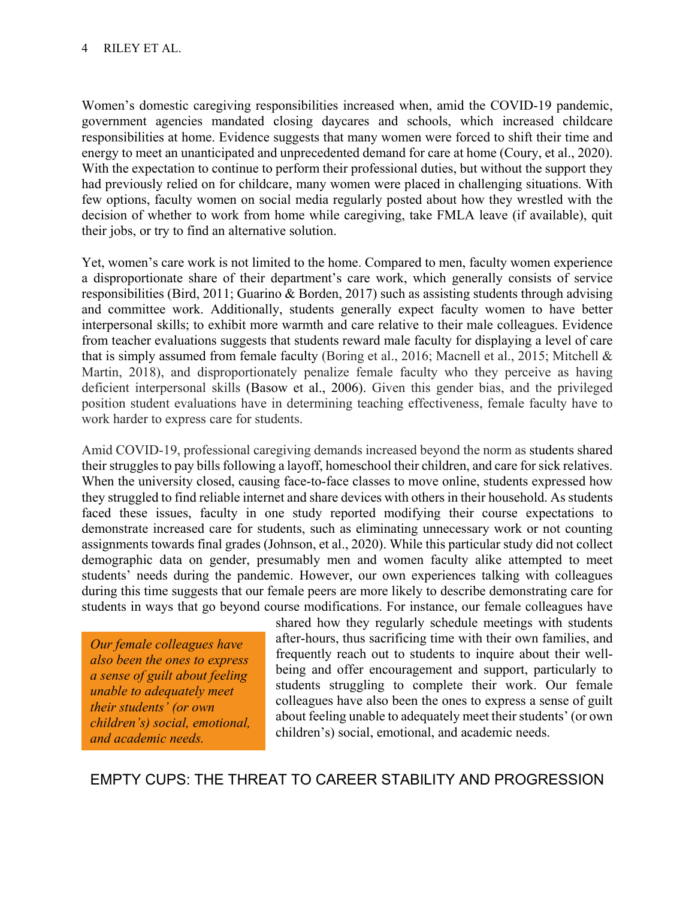Women's domestic caregiving responsibilities increased when, amid the COVID-19 pandemic, government agencies mandated closing daycares and schools, which increased childcare responsibilities at home. Evidence suggests that many women were forced to shift their time and energy to meet an unanticipated and unprecedented demand for care at home (Coury, et al., 2020). With the expectation to continue to perform their professional duties, but without the support they had previously relied on for childcare, many women were placed in challenging situations. With few options, faculty women on social media regularly posted about how they wrestled with the decision of whether to work from home while caregiving, take FMLA leave (if available), quit their jobs, or try to find an alternative solution.

Yet, women's care work is not limited to the home. Compared to men, faculty women experience a disproportionate share of their department's care work, which generally consists of service responsibilities (Bird, 2011; Guarino & Borden, 2017) such as assisting students through advising and committee work. Additionally, students generally expect faculty women to have better interpersonal skills; to exhibit more warmth and care relative to their male colleagues. Evidence from teacher evaluations suggests that students reward male faculty for displaying a level of care that is simply assumed from female faculty (Boring et al., 2016; Macnell et al., 2015; Mitchell & Martin, 2018), and disproportionately penalize female faculty who they perceive as having deficient interpersonal skills (Basow et al., 2006). Given this gender bias, and the privileged position student evaluations have in determining teaching effectiveness, female faculty have to work harder to express care for students.

Amid COVID-19, professional caregiving demands increased beyond the norm as students shared their struggles to pay bills following a layoff, homeschool their children, and care for sick relatives. When the university closed, causing face-to-face classes to move online, students expressed how they struggled to find reliable internet and share devices with others in their household. As students faced these issues, faculty in one study reported modifying their course expectations to demonstrate increased care for students, such as eliminating unnecessary work or not counting assignments towards final grades (Johnson, et al., 2020). While this particular study did not collect demographic data on gender, presumably men and women faculty alike attempted to meet students' needs during the pandemic. However, our own experiences talking with colleagues during this time suggests that our female peers are more likely to describe demonstrating care for students in ways that go beyond course modifications. For instance, our female colleagues have

*Our female colleagues have also been the ones to express a sense of guilt about feeling unable to adequately meet their students' (or own children's) social, emotional, and academic needs.*

shared how they regularly schedule meetings with students after-hours, thus sacrificing time with their own families, and frequently reach out to students to inquire about their wellbeing and offer encouragement and support, particularly to students struggling to complete their work. Our female colleagues have also been the ones to express a sense of guilt about feeling unable to adequately meet their students' (or own children's) social, emotional, and academic needs.

EMPTY CUPS: THE THREAT TO CAREER STABILITY AND PROGRESSION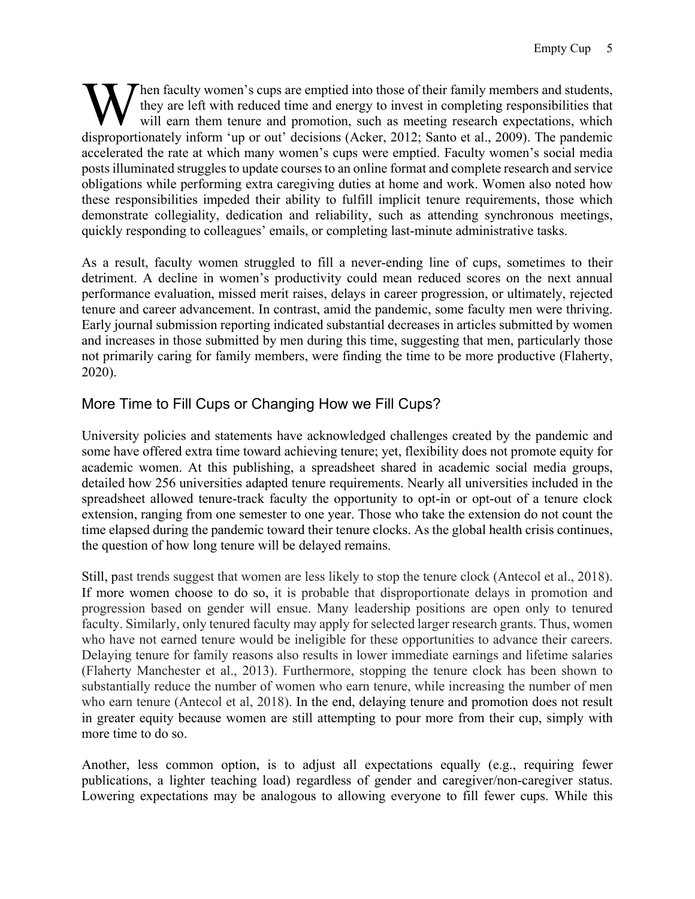hen faculty women's cups are emptied into those of their family members and students, they are left with reduced time and energy to invest in completing responsibilities that will earn them tenure and promotion, such as meeting research expectations, which When faculty women's cups are emptied into those of their family members and students, they are left with reduced time and energy to invest in completing responsibilities that will earn them tenure and promotion, such as m accelerated the rate at which many women's cups were emptied. Faculty women's social media posts illuminated struggles to update courses to an online format and complete research and service obligations while performing extra caregiving duties at home and work. Women also noted how these responsibilities impeded their ability to fulfill implicit tenure requirements, those which demonstrate collegiality, dedication and reliability, such as attending synchronous meetings, quickly responding to colleagues' emails, or completing last-minute administrative tasks.

As a result, faculty women struggled to fill a never-ending line of cups, sometimes to their detriment. A decline in women's productivity could mean reduced scores on the next annual performance evaluation, missed merit raises, delays in career progression, or ultimately, rejected tenure and career advancement. In contrast, amid the pandemic, some faculty men were thriving. Early journal submission reporting indicated substantial decreases in articles submitted by women and increases in those submitted by men during this time, suggesting that men, particularly those not primarily caring for family members, were finding the time to be more productive (Flaherty, 2020).

# More Time to Fill Cups or Changing How we Fill Cups?

University policies and statements have acknowledged challenges created by the pandemic and some have offered extra time toward achieving tenure; yet, flexibility does not promote equity for academic women. At this publishing, a spreadsheet shared in academic social media groups, detailed how 256 universities adapted tenure requirements. Nearly all universities included in the spreadsheet allowed tenure-track faculty the opportunity to opt-in or opt-out of a tenure clock extension, ranging from one semester to one year. Those who take the extension do not count the time elapsed during the pandemic toward their tenure clocks. As the global health crisis continues, the question of how long tenure will be delayed remains.

Still, past trends suggest that women are less likely to stop the tenure clock (Antecol et al., 2018). If more women choose to do so, it is probable that disproportionate delays in promotion and progression based on gender will ensue. Many leadership positions are open only to tenured faculty. Similarly, only tenured faculty may apply for selected larger research grants. Thus, women who have not earned tenure would be ineligible for these opportunities to advance their careers. Delaying tenure for family reasons also results in lower immediate earnings and lifetime salaries (Flaherty Manchester et al., 2013). Furthermore, stopping the tenure clock has been shown to substantially reduce the number of women who earn tenure, while increasing the number of men who earn tenure (Antecol et al, 2018). In the end, delaying tenure and promotion does not result in greater equity because women are still attempting to pour more from their cup, simply with more time to do so.

Another, less common option, is to adjust all expectations equally (e.g., requiring fewer publications, a lighter teaching load) regardless of gender and caregiver/non-caregiver status. Lowering expectations may be analogous to allowing everyone to fill fewer cups. While this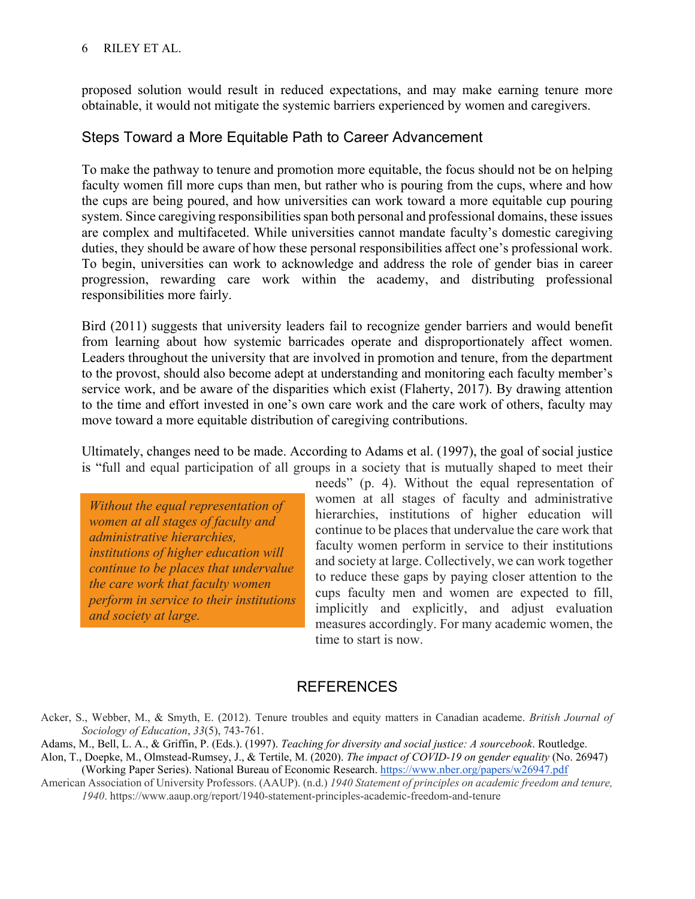#### 6 RILEY ET AL.

proposed solution would result in reduced expectations, and may make earning tenure more obtainable, it would not mitigate the systemic barriers experienced by women and caregivers.

#### Steps Toward a More Equitable Path to Career Advancement

To make the pathway to tenure and promotion more equitable, the focus should not be on helping faculty women fill more cups than men, but rather who is pouring from the cups, where and how the cups are being poured, and how universities can work toward a more equitable cup pouring system. Since caregiving responsibilities span both personal and professional domains, these issues are complex and multifaceted. While universities cannot mandate faculty's domestic caregiving duties, they should be aware of how these personal responsibilities affect one's professional work. To begin, universities can work to acknowledge and address the role of gender bias in career progression, rewarding care work within the academy, and distributing professional responsibilities more fairly.

Bird (2011) suggests that university leaders fail to recognize gender barriers and would benefit from learning about how systemic barricades operate and disproportionately affect women. Leaders throughout the university that are involved in promotion and tenure, from the department to the provost, should also become adept at understanding and monitoring each faculty member's service work, and be aware of the disparities which exist (Flaherty, 2017). By drawing attention to the time and effort invested in one's own care work and the care work of others, faculty may move toward a more equitable distribution of caregiving contributions.

Ultimately, changes need to be made. According to Adams et al. (1997), the goal of social justice is "full and equal participation of all groups in a society that is mutually shaped to meet their

*Without the equal representation of women at all stages of faculty and administrative hierarchies, institutions of higher education will continue to be places that undervalue the care work that faculty women perform in service to their institutions and society at large.*

needs" (p. 4). Without the equal representation of women at all stages of faculty and administrative hierarchies, institutions of higher education will continue to be places that undervalue the care work that faculty women perform in service to their institutions and society at large. Collectively, we can work together to reduce these gaps by paying closer attention to the cups faculty men and women are expected to fill, implicitly and explicitly, and adjust evaluation measures accordingly. For many academic women, the time to start is now.

### **REFERENCES**

- Adams, M., Bell, L. A., & Griffin, P. (Eds.). (1997). *Teaching for diversity and social justice: A sourcebook*. Routledge.
- Alon, T., Doepke, M., Olmstead-Rumsey, J., & Tertile, M. (2020). *The impact of COVID-19 on gender equality* (No. 26947) (Working Paper Series). National Bureau of Economic Researc[h.](https://www.nber.org/papers/w26947.pdf) <https://www.nber.org/papers/w26947.pdf>
- American Association of University Professors. (AAUP). (n.d.) *1940 Statement of principles on academic freedom and tenure, 1940*. https://www.aaup.org/report/1940-statement-principles-academic-freedom-and-tenure

Acker, S., Webber, M., & Smyth, E. (2012). Tenure troubles and equity matters in Canadian academe. *British Journal of Sociology of Education*, *33*(5), 743-761.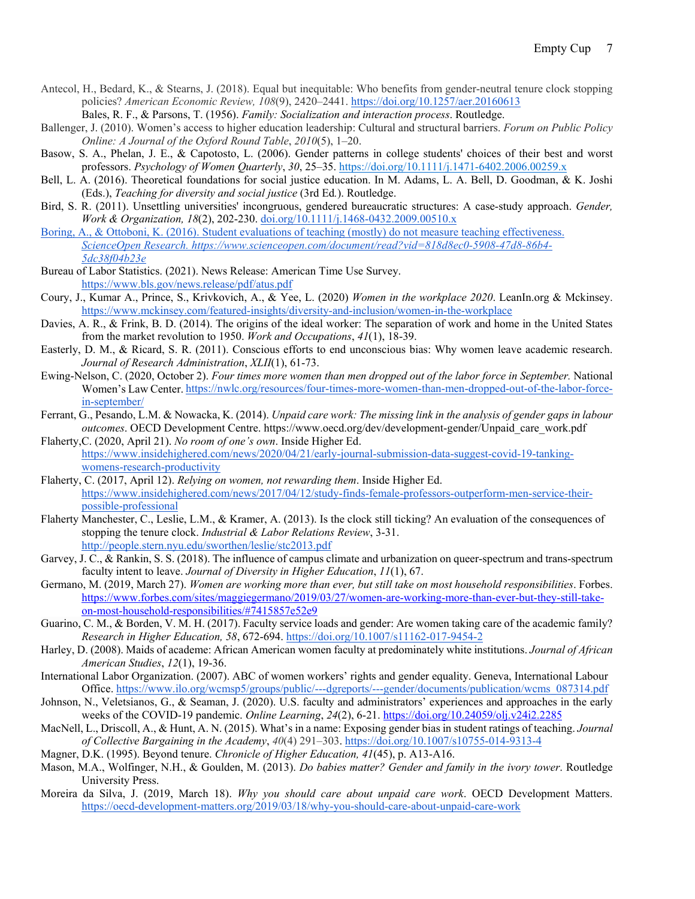- Antecol, H., Bedard, K., & Stearns, J. (2018). Equal but inequitable: Who benefits from gender-neutral tenure clock stopping policies? *American Economic Review, 108*(9), 2420–2441. [https://doi.org/10.1257/aer.20160613](https://doi.org/10.1111%2Fj.1471-6402.2006.00259.x) 
	- Bales, R. F., & Parsons, T. (1956). *Family: Socialization and interaction process*. Routledge.
- Ballenger, J. (2010). Women's access to higher education leadership: Cultural and structural barriers. *Forum on Public Policy Online: A Journal of the Oxford Round Table*, *2010*(5), 1–20.
- Basow, S. A., Phelan, J. E., & Capotosto, L. (2006). Gender patterns in college students' choices of their best and worst professors. *Psychology of Women Quarterly*, *30*, 25–35. [https://doi.org/10.1111/j.1471-6402.2006.00259.x](https://doi.org/10.1111%2Fj.1471-6402.2006.00259.x)
- Bell, L. A. (2016). Theoretical foundations for social justice education. In M. Adams, L. A. Bell, D. Goodman, & K. Joshi (Eds.), *Teaching for diversity and social justice* (3rd Ed*.*). Routledge.
- Bird, S. R. (2011). Unsettling universities' incongruous, gendered bureaucratic structures: A case‐study approach. *Gender, Work & Organization, 18*(2), 202-230. [doi.org/10.1111/j.1468-0432.2009.00510.x](https://doi.org/10.1111/j.1468-0432.2009.00510.x)
- Boring, A., & Ottoboni, K. (2016). Student evaluations of teaching (mostly) do not measure teaching effectiveness. *ScienceOpen Research. https://www.scienceopen.com/document/read?vid=818d8ec0-5908-47d8-86b4- 5dc38f04b23e*
- Bureau of Labor Statistics. (2021). News Release: American Time Use Survey. <https://www.bls.gov/news.release/pdf/atus.pdf>
- Coury, J., Kumar A., Prince, S., Krivkovich, A., & Yee, L. (2020) *Women in the workplace 2020*. LeanIn.org & Mckinsey. <https://www.mckinsey.com/featured-insights/diversity-and-inclusion/women-in-the-workplace>
- Davies, A. R., & Frink, B. D. (2014). The origins of the ideal worker: The separation of work and home in the United States from the market revolution to 1950. *Work and Occupations*, *41*(1), 18-39.
- Easterly, D. M., & Ricard, S. R. (2011). Conscious efforts to end unconscious bias: Why women leave academic research. *Journal of Research Administration*, *XLII*(1), 61-73.
- Ewing-Nelson, C. (2020, October 2). *Four times more women than men dropped out of the labor force in September.* National Women's Law Center. [https://nwlc.org/resources/four-times-more-women-than-men-dropped-out-of-the-labor-force](https://nwlc.org/resources/four-times-more-women-than-men-dropped-out-of-the-labor-force-in-september/)[in-september/](https://nwlc.org/resources/four-times-more-women-than-men-dropped-out-of-the-labor-force-in-september/)
- Ferrant, G., Pesando, L.M. & Nowacka, K. (2014). *Unpaid care work: The missing link in the analysis of gender gaps in labour outcomes*. OECD Development Centre. https://www.oecd.org/dev/development-gender/Unpaid\_care\_work.pdf
- Flaherty,C. (2020, April 21). *No room of one's own*. Inside Higher Ed. [https://www.insidehighered.com/news/2020/04/21/early-journal-submission-data-suggest-covid-19-tanking](https://www.insidehighered.com/news/2020/04/21/early-journal-submission-data-suggest-covid-19-tanking-womens-research-productivity)[womens-research-productivity](https://www.insidehighered.com/news/2020/04/21/early-journal-submission-data-suggest-covid-19-tanking-womens-research-productivity)
- Flaherty, C. (2017, April 12). *Relying on women, not rewarding them*. Inside Higher Ed. [https://www.insidehighered.com/news/2017/04/12/study-finds-female-professors-outperform-men-service-their](https://www.insidehighered.com/news/2017/04/12/study-finds-female-professors-outperform-men-service-their-possible-professional)[possible-professional](https://www.insidehighered.com/news/2017/04/12/study-finds-female-professors-outperform-men-service-their-possible-professional)
- Flaherty Manchester, C., Leslie, L.M., & Kramer, A. (2013). Is the clock still ticking? An evaluation of the consequences of stopping the tenure clock. *Industrial & Labor Relations Review*, 3-31. <http://people.stern.nyu.edu/sworthen/leslie/stc2013.pdf>
- Garvey, J. C., & Rankin, S. S. (2018). The influence of campus climate and urbanization on queer-spectrum and trans-spectrum faculty intent to leave. *Journal of Diversity in Higher Education*, *11*(1), 67.
- Germano, M. (2019, March 27). *Women are working more than ever, but still take on most household responsibilities*. Forbes. [https://www.forbes.com/sites/maggiegermano/2019/03/27/women-are-working-more-than-ever-but-they-still-take](https://www.forbes.com/sites/maggiegermano/2019/03/27/women-are-working-more-than-ever-but-they-still-take-on-most-household-responsibilities/#7415857e52e9)[on-most-household-responsibilities/#7415857e52e9](https://www.forbes.com/sites/maggiegermano/2019/03/27/women-are-working-more-than-ever-but-they-still-take-on-most-household-responsibilities/#7415857e52e9)
- Guarino, C. M., & Borden, V. M. H. (2017). Faculty service loads and gender: Are women taking care of the academic family? *Research in Higher Education, 58*, 672-69[4.](https://doi.org/10.1007/s11162-017-9454-2) <https://doi.org/10.1007/s11162-017-9454-2>
- Harley, D. (2008). Maids of academe: African American women faculty at predominately white institutions. *Journal of African American Studies*, *12*(1), 19-36.
- International Labor Organization. (2007). ABC of women workers' rights and gender equality. Geneva, International Labour Office[. https://www.ilo.org/wcmsp5/groups/public/---dgreports/---gender/documents/publication/wcms\\_087314.pdf](https://www.ilo.org/wcmsp5/groups/public/---dgreports/---gender/documents/publication/wcms_087314.pdf)
- Johnson, N., Veletsianos, G., & Seaman, J. (2020). U.S. faculty and administrators' experiences and approaches in the early weeks of the COVID-19 pandemic. *Online Learning*, *24*(2), 6-21.<https://doi.org/10.24059/olj.v24i2.2285>
- MacNell, L., Driscoll, A., & Hunt, A. N. (2015). What's in a name: Exposing gender bias in student ratings of teaching. *Journal of Collective Bargaining in the Academy*, *40*(4) 291–303.<https://doi.org/10.1007/s10755-014-9313-4>
- Magner, D.K. (1995). Beyond tenure. *Chronicle of Higher Education, 41*(45), p. A13-A16.
- Mason, M.A., Wolfinger, N.H., & Goulden, M. (2013). *Do babies matter? Gender and family in the ivory tower*. Routledge University Press.
- Moreira da Silva, J. (2019, March 18). *Why you should care about unpaid care work*. OECD Development Matters. <https://oecd-development-matters.org/2019/03/18/why-you-should-care-about-unpaid-care-work>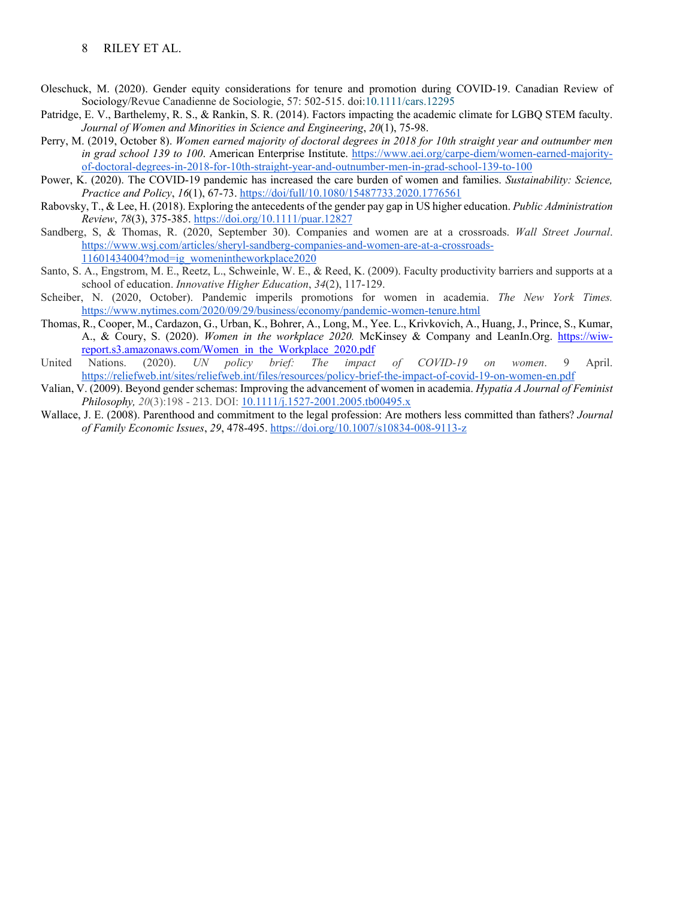#### 8 RILEY ET AL.

- Oleschuck, M. (2020). Gender equity considerations for tenure and promotion during COVID-19. Canadian Review of Sociology/Revue Canadienne de Sociologie, 57: 502-515. doi[:10.1111/cars.12295](https://doi.org/10.1111/cars.12295)
- Patridge, E. V., Barthelemy, R. S., & Rankin, S. R. (2014). Factors impacting the academic climate for LGBQ STEM faculty. *Journal of Women and Minorities in Science and Engineering*, *20*(1), 75-98.
- Perry, M. (2019, October 8). *Women earned majority of doctoral degrees in 2018 for 10th straight year and outnumber men in grad school 139 to 100*. American Enterprise Institute. [https://www.aei.org/carpe-diem/women-earned-majority](https://www.aei.org/carpe-diem/women-earned-majority-of-doctoral-degrees-in-2018-for-10th-straight-year-and-outnumber-men-in-grad-school-139-to-100/#:%7E:text=For%20the%20tenth%20year%20in,at%20US%20universities%20in%202018.&text=25)[of-doctoral-degrees-in-2018-for-10th-straight-year-and-outnumber-men-in-grad-school-139-to-100](https://www.aei.org/carpe-diem/women-earned-majority-of-doctoral-degrees-in-2018-for-10th-straight-year-and-outnumber-men-in-grad-school-139-to-100/#:%7E:text=For%20the%20tenth%20year%20in,at%20US%20universities%20in%202018.&text=25)
- Power, K. (2020). The COVID-19 pandemic has increased the care burden of women and families. *Sustainability: Science, Practice and Policy*, *16*(1), 67-73.<https://doi/full/10.1080/15487733.2020.1776561>
- Rabovsky, T., & Lee, H. (2018). Exploring the antecedents of the gender pay gap in US higher education. *Public Administration Review*, *78*(3), 375-385.<https://doi.org/10.1111/puar.12827>
- Sandberg, S, & Thomas, R. (2020, September 30). Companies and women are at a crossroads. *Wall Street Journal*. [https://www.wsj.com/articles/sheryl-sandberg-companies-and-women-are-at-a-crossroads-](https://www.wsj.com/articles/sheryl-sandberg-companies-and-women-are-at-a-crossroads-11601434004?mod=ig_womenintheworkplace2020)[11601434004?mod=ig\\_womenintheworkplace2020](https://www.wsj.com/articles/sheryl-sandberg-companies-and-women-are-at-a-crossroads-11601434004?mod=ig_womenintheworkplace2020)
- Santo, S. A., Engstrom, M. E., Reetz, L., Schweinle, W. E., & Reed, K. (2009). Faculty productivity barriers and supports at a school of education. *Innovative Higher Education*, *34*(2), 117-129.
- Scheiber, N. (2020, October). Pandemic imperils promotions for women in academia. *The New York Times.*  <https://www.nytimes.com/2020/09/29/business/economy/pandemic-women-tenure.html>
- Thomas, R., Cooper, M., Cardazon, G., Urban, K., Bohrer, A., Long, M., Yee. L., Krivkovich, A., Huang, J., Prince, S., Kumar, A., & Coury, S. (2020). *Women in the workplace 2020.* McKinsey & Company and LeanIn.Org. [https://wiw](https://wiw-report.s3.amazonaws.com/Women_in_the_Workplace_2020.pdf)[report.s3.amazonaws.com/Women\\_in\\_the\\_Workplace\\_2020.pdf](https://wiw-report.s3.amazonaws.com/Women_in_the_Workplace_2020.pdf)
- United Nations. (2020). *UN policy brief: The impact of COVID-19 on women*. 9 April. <https://reliefweb.int/sites/reliefweb.int/files/resources/policy-brief-the-impact-of-covid-19-on-women-en.pdf>
- Valian, V. (2009). Beyond gender schemas: Improving the advancement of women in academia. *Hypatia A Journal of Feminist Philosophy, 20*(3):198 - 213. DOI: [10.1111/j.1527-2001.2005.tb00495.x](https://www.researchgate.net/deref/http%3A%2F%2Fdx.doi.org%2F10.1111%2Fj.1527-2001.2005.tb00495.x)
- Wallace, J. E. (2008). Parenthood and commitment to the legal profession: Are mothers less committed than fathers? *Journal of Family Economic Issues*, *29*, 478-495.<https://doi.org/10.1007/s10834-008-9113-z>